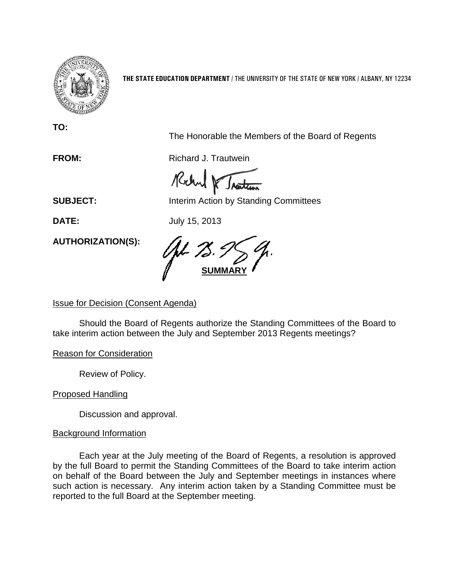

**THE STATE EDUCATION DEPARTMENT** / THE UNIVERSITY OF THE STATE OF NEW YORK / ALBANY, NY 12234

**TO:**

The Honorable the Members of the Board of Regents

**FROM:** Richard J. Trautwein

Rochal K Inatten

**SUBJECT:** Interim Action by Standing Committees

**DATE:** July 15, 2013

**AUTHORIZATION(S):**

**SUMMARY**

## Issue for Decision (Consent Agenda)

Should the Board of Regents authorize the Standing Committees of the Board to take interim action between the July and September 2013 Regents meetings?

Reason for Consideration

Review of Policy.

Proposed Handling

Discussion and approval.

## Background Information

Each year at the July meeting of the Board of Regents, a resolution is approved by the full Board to permit the Standing Committees of the Board to take interim action on behalf of the Board between the July and September meetings in instances where such action is necessary. Any interim action taken by a Standing Committee must be reported to the full Board at the September meeting.